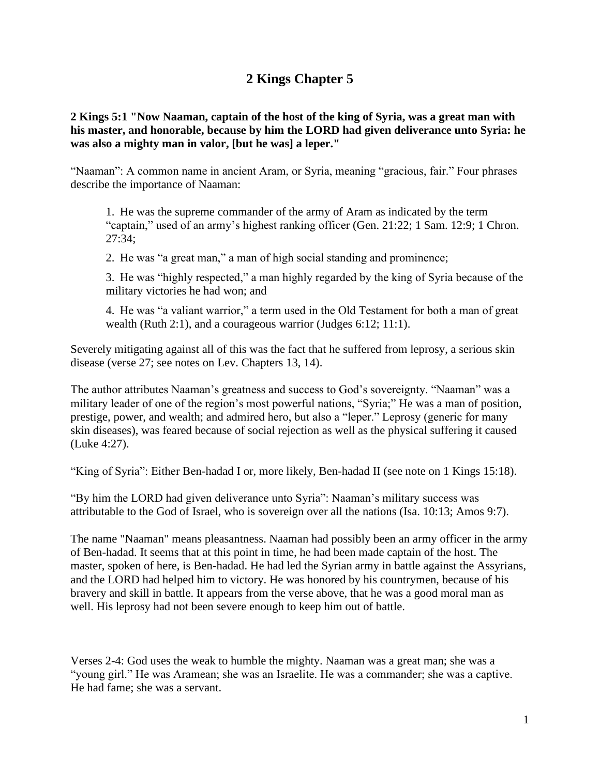## **2 Kings Chapter 5**

**2 Kings 5:1 "Now Naaman, captain of the host of the king of Syria, was a great man with his master, and honorable, because by him the LORD had given deliverance unto Syria: he was also a mighty man in valor, [but he was] a leper."**

"Naaman": A common name in ancient Aram, or Syria, meaning "gracious, fair." Four phrases describe the importance of Naaman:

1. He was the supreme commander of the army of Aram as indicated by the term "captain," used of an army's highest ranking officer (Gen. 21:22; 1 Sam. 12:9; 1 Chron. 27:34;

2. He was "a great man," a man of high social standing and prominence;

3. He was "highly respected," a man highly regarded by the king of Syria because of the military victories he had won; and

4. He was "a valiant warrior," a term used in the Old Testament for both a man of great wealth (Ruth 2:1), and a courageous warrior (Judges 6:12; 11:1).

Severely mitigating against all of this was the fact that he suffered from leprosy, a serious skin disease (verse 27; see notes on Lev. Chapters 13, 14).

The author attributes Naaman's greatness and success to God's sovereignty. "Naaman" was a military leader of one of the region's most powerful nations, "Syria;" He was a man of position, prestige, power, and wealth; and admired hero, but also a "leper." Leprosy (generic for many skin diseases), was feared because of social rejection as well as the physical suffering it caused (Luke 4:27).

"King of Syria": Either Ben-hadad I or, more likely, Ben-hadad II (see note on 1 Kings 15:18).

"By him the LORD had given deliverance unto Syria": Naaman's military success was attributable to the God of Israel, who is sovereign over all the nations (Isa. 10:13; Amos 9:7).

The name "Naaman" means pleasantness. Naaman had possibly been an army officer in the army of Ben-hadad. It seems that at this point in time, he had been made captain of the host. The master, spoken of here, is Ben-hadad. He had led the Syrian army in battle against the Assyrians, and the LORD had helped him to victory. He was honored by his countrymen, because of his bravery and skill in battle. It appears from the verse above, that he was a good moral man as well. His leprosy had not been severe enough to keep him out of battle.

Verses 2-4: God uses the weak to humble the mighty. Naaman was a great man; she was a "young girl." He was Aramean; she was an Israelite. He was a commander; she was a captive. He had fame; she was a servant.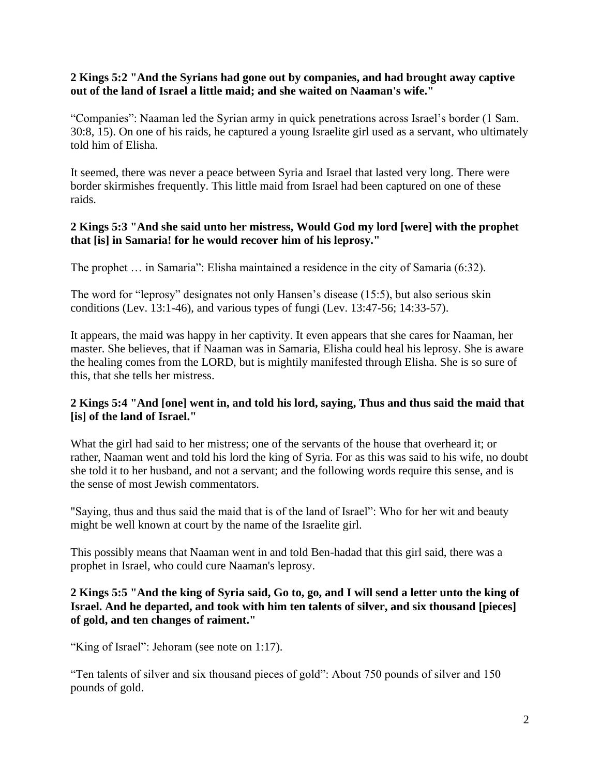#### **2 Kings 5:2 "And the Syrians had gone out by companies, and had brought away captive out of the land of Israel a little maid; and she waited on Naaman's wife."**

"Companies": Naaman led the Syrian army in quick penetrations across Israel's border (1 Sam. 30:8, 15). On one of his raids, he captured a young Israelite girl used as a servant, who ultimately told him of Elisha.

It seemed, there was never a peace between Syria and Israel that lasted very long. There were border skirmishes frequently. This little maid from Israel had been captured on one of these raids.

## **2 Kings 5:3 "And she said unto her mistress, Would God my lord [were] with the prophet that [is] in Samaria! for he would recover him of his leprosy."**

The prophet … in Samaria": Elisha maintained a residence in the city of Samaria (6:32).

The word for "leprosy" designates not only Hansen's disease (15:5), but also serious skin conditions (Lev. 13:1-46), and various types of fungi (Lev. 13:47-56; 14:33-57).

It appears, the maid was happy in her captivity. It even appears that she cares for Naaman, her master. She believes, that if Naaman was in Samaria, Elisha could heal his leprosy. She is aware the healing comes from the LORD, but is mightily manifested through Elisha. She is so sure of this, that she tells her mistress.

## **2 Kings 5:4 "And [one] went in, and told his lord, saying, Thus and thus said the maid that [is] of the land of Israel."**

What the girl had said to her mistress; one of the servants of the house that overheard it; or rather, Naaman went and told his lord the king of Syria. For as this was said to his wife, no doubt she told it to her husband, and not a servant; and the following words require this sense, and is the sense of most Jewish commentators.

"Saying, thus and thus said the maid that is of the land of Israel": Who for her wit and beauty might be well known at court by the name of the Israelite girl.

This possibly means that Naaman went in and told Ben-hadad that this girl said, there was a prophet in Israel, who could cure Naaman's leprosy.

## **2 Kings 5:5 "And the king of Syria said, Go to, go, and I will send a letter unto the king of Israel. And he departed, and took with him ten talents of silver, and six thousand [pieces] of gold, and ten changes of raiment."**

"King of Israel": Jehoram (see note on 1:17).

"Ten talents of silver and six thousand pieces of gold": About 750 pounds of silver and 150 pounds of gold.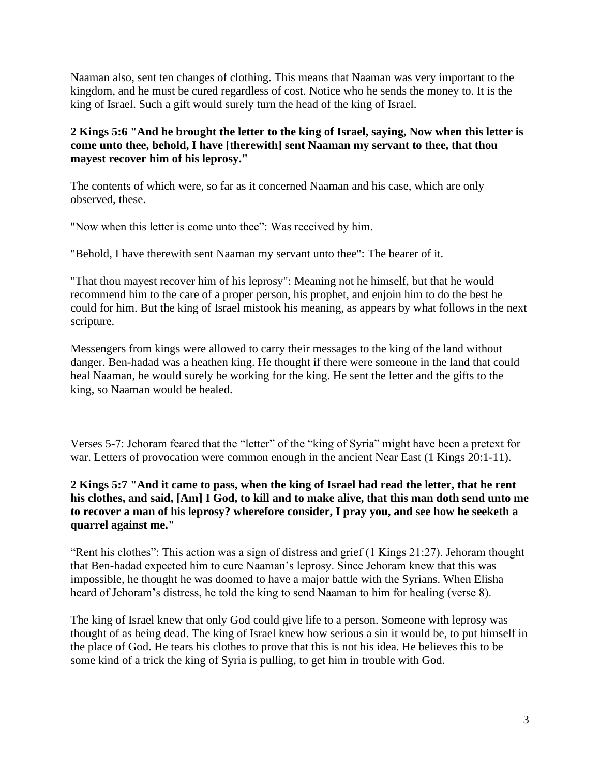Naaman also, sent ten changes of clothing. This means that Naaman was very important to the kingdom, and he must be cured regardless of cost. Notice who he sends the money to. It is the king of Israel. Such a gift would surely turn the head of the king of Israel.

## **2 Kings 5:6 "And he brought the letter to the king of Israel, saying, Now when this letter is come unto thee, behold, I have [therewith] sent Naaman my servant to thee, that thou mayest recover him of his leprosy."**

The contents of which were, so far as it concerned Naaman and his case, which are only observed, these.

"Now when this letter is come unto thee": Was received by him.

"Behold, I have therewith sent Naaman my servant unto thee": The bearer of it.

"That thou mayest recover him of his leprosy": Meaning not he himself, but that he would recommend him to the care of a proper person, his prophet, and enjoin him to do the best he could for him. But the king of Israel mistook his meaning, as appears by what follows in the next scripture.

Messengers from kings were allowed to carry their messages to the king of the land without danger. Ben-hadad was a heathen king. He thought if there were someone in the land that could heal Naaman, he would surely be working for the king. He sent the letter and the gifts to the king, so Naaman would be healed.

Verses 5-7: Jehoram feared that the "letter" of the "king of Syria" might have been a pretext for war. Letters of provocation were common enough in the ancient Near East (1 Kings 20:1-11).

## **2 Kings 5:7 "And it came to pass, when the king of Israel had read the letter, that he rent his clothes, and said, [Am] I God, to kill and to make alive, that this man doth send unto me to recover a man of his leprosy? wherefore consider, I pray you, and see how he seeketh a quarrel against me."**

"Rent his clothes": This action was a sign of distress and grief (1 Kings 21:27). Jehoram thought that Ben-hadad expected him to cure Naaman's leprosy. Since Jehoram knew that this was impossible, he thought he was doomed to have a major battle with the Syrians. When Elisha heard of Jehoram's distress, he told the king to send Naaman to him for healing (verse 8).

The king of Israel knew that only God could give life to a person. Someone with leprosy was thought of as being dead. The king of Israel knew how serious a sin it would be, to put himself in the place of God. He tears his clothes to prove that this is not his idea. He believes this to be some kind of a trick the king of Syria is pulling, to get him in trouble with God.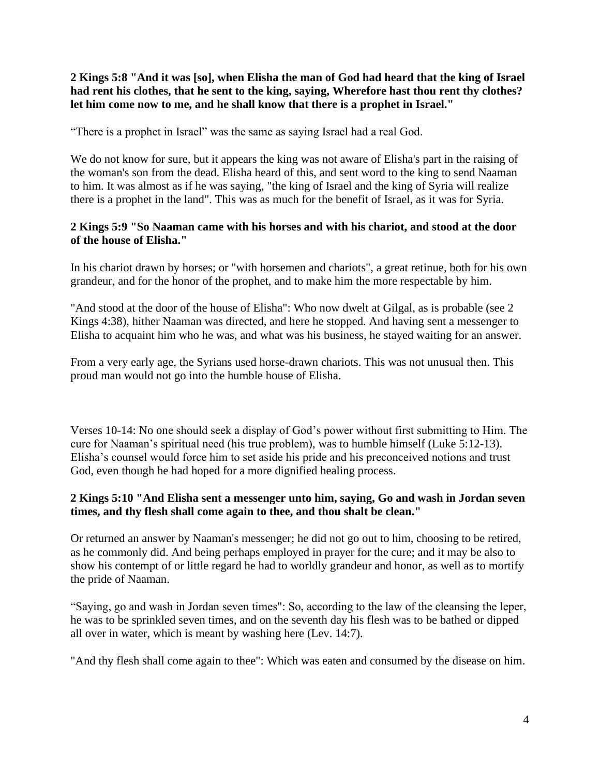**2 Kings 5:8 "And it was [so], when Elisha the man of God had heard that the king of Israel had rent his clothes, that he sent to the king, saying, Wherefore hast thou rent thy clothes? let him come now to me, and he shall know that there is a prophet in Israel."**

"There is a prophet in Israel" was the same as saying Israel had a real God.

We do not know for sure, but it appears the king was not aware of Elisha's part in the raising of the woman's son from the dead. Elisha heard of this, and sent word to the king to send Naaman to him. It was almost as if he was saying, "the king of Israel and the king of Syria will realize there is a prophet in the land". This was as much for the benefit of Israel, as it was for Syria.

## **2 Kings 5:9 "So Naaman came with his horses and with his chariot, and stood at the door of the house of Elisha."**

In his chariot drawn by horses; or "with horsemen and chariots", a great retinue, both for his own grandeur, and for the honor of the prophet, and to make him the more respectable by him.

"And stood at the door of the house of Elisha": Who now dwelt at Gilgal, as is probable (see 2 Kings 4:38), hither Naaman was directed, and here he stopped. And having sent a messenger to Elisha to acquaint him who he was, and what was his business, he stayed waiting for an answer.

From a very early age, the Syrians used horse-drawn chariots. This was not unusual then. This proud man would not go into the humble house of Elisha.

Verses 10-14: No one should seek a display of God's power without first submitting to Him. The cure for Naaman's spiritual need (his true problem), was to humble himself (Luke 5:12-13). Elisha's counsel would force him to set aside his pride and his preconceived notions and trust God, even though he had hoped for a more dignified healing process.

#### **2 Kings 5:10 "And Elisha sent a messenger unto him, saying, Go and wash in Jordan seven times, and thy flesh shall come again to thee, and thou shalt be clean."**

Or returned an answer by Naaman's messenger; he did not go out to him, choosing to be retired, as he commonly did. And being perhaps employed in prayer for the cure; and it may be also to show his contempt of or little regard he had to worldly grandeur and honor, as well as to mortify the pride of Naaman.

"Saying, go and wash in Jordan seven times": So, according to the law of the cleansing the leper, he was to be sprinkled seven times, and on the seventh day his flesh was to be bathed or dipped all over in water, which is meant by washing here (Lev. 14:7).

"And thy flesh shall come again to thee": Which was eaten and consumed by the disease on him.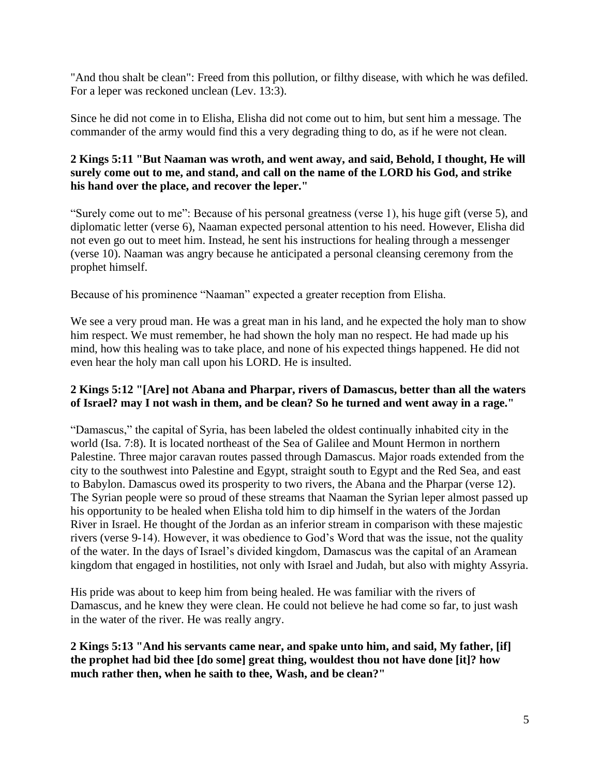"And thou shalt be clean": Freed from this pollution, or filthy disease, with which he was defiled. For a leper was reckoned unclean (Lev. 13:3).

Since he did not come in to Elisha, Elisha did not come out to him, but sent him a message. The commander of the army would find this a very degrading thing to do, as if he were not clean.

## **2 Kings 5:11 "But Naaman was wroth, and went away, and said, Behold, I thought, He will surely come out to me, and stand, and call on the name of the LORD his God, and strike his hand over the place, and recover the leper."**

"Surely come out to me": Because of his personal greatness (verse 1), his huge gift (verse 5), and diplomatic letter (verse 6), Naaman expected personal attention to his need. However, Elisha did not even go out to meet him. Instead, he sent his instructions for healing through a messenger (verse 10). Naaman was angry because he anticipated a personal cleansing ceremony from the prophet himself.

Because of his prominence "Naaman" expected a greater reception from Elisha.

We see a very proud man. He was a great man in his land, and he expected the holy man to show him respect. We must remember, he had shown the holy man no respect. He had made up his mind, how this healing was to take place, and none of his expected things happened. He did not even hear the holy man call upon his LORD. He is insulted.

#### **2 Kings 5:12 "[Are] not Abana and Pharpar, rivers of Damascus, better than all the waters of Israel? may I not wash in them, and be clean? So he turned and went away in a rage."**

"Damascus," the capital of Syria, has been labeled the oldest continually inhabited city in the world (Isa. 7:8). It is located northeast of the Sea of Galilee and Mount Hermon in northern Palestine. Three major caravan routes passed through Damascus. Major roads extended from the city to the southwest into Palestine and Egypt, straight south to Egypt and the Red Sea, and east to Babylon. Damascus owed its prosperity to two rivers, the Abana and the Pharpar (verse 12). The Syrian people were so proud of these streams that Naaman the Syrian leper almost passed up his opportunity to be healed when Elisha told him to dip himself in the waters of the Jordan River in Israel. He thought of the Jordan as an inferior stream in comparison with these majestic rivers (verse 9-14). However, it was obedience to God's Word that was the issue, not the quality of the water. In the days of Israel's divided kingdom, Damascus was the capital of an Aramean kingdom that engaged in hostilities, not only with Israel and Judah, but also with mighty Assyria.

His pride was about to keep him from being healed. He was familiar with the rivers of Damascus, and he knew they were clean. He could not believe he had come so far, to just wash in the water of the river. He was really angry.

**2 Kings 5:13 "And his servants came near, and spake unto him, and said, My father, [if] the prophet had bid thee [do some] great thing, wouldest thou not have done [it]? how much rather then, when he saith to thee, Wash, and be clean?"**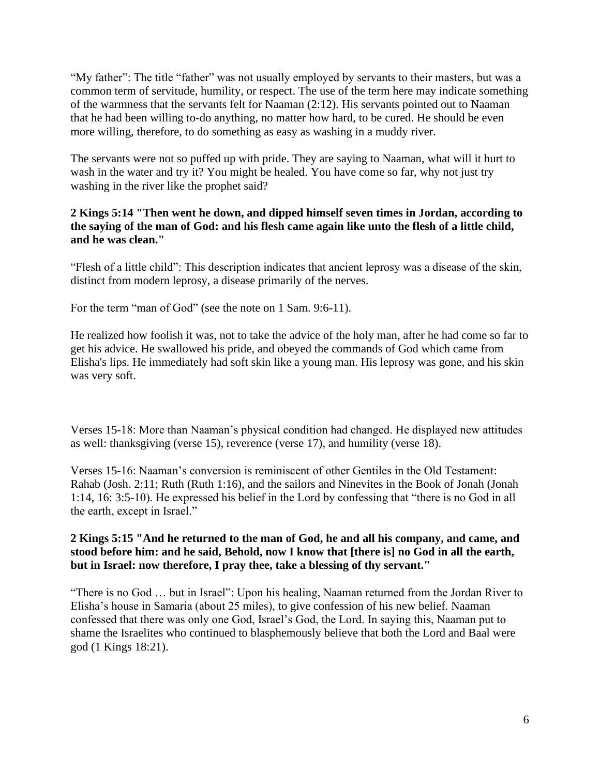"My father": The title "father" was not usually employed by servants to their masters, but was a common term of servitude, humility, or respect. The use of the term here may indicate something of the warmness that the servants felt for Naaman (2:12). His servants pointed out to Naaman that he had been willing to-do anything, no matter how hard, to be cured. He should be even more willing, therefore, to do something as easy as washing in a muddy river.

The servants were not so puffed up with pride. They are saying to Naaman, what will it hurt to wash in the water and try it? You might be healed. You have come so far, why not just try washing in the river like the prophet said?

## **2 Kings 5:14 "Then went he down, and dipped himself seven times in Jordan, according to the saying of the man of God: and his flesh came again like unto the flesh of a little child, and he was clean."**

"Flesh of a little child": This description indicates that ancient leprosy was a disease of the skin, distinct from modern leprosy, a disease primarily of the nerves.

For the term "man of God" (see the note on 1 Sam. 9:6-11).

He realized how foolish it was, not to take the advice of the holy man, after he had come so far to get his advice. He swallowed his pride, and obeyed the commands of God which came from Elisha's lips. He immediately had soft skin like a young man. His leprosy was gone, and his skin was very soft.

Verses 15-18: More than Naaman's physical condition had changed. He displayed new attitudes as well: thanksgiving (verse 15), reverence (verse 17), and humility (verse 18).

Verses 15-16: Naaman's conversion is reminiscent of other Gentiles in the Old Testament: Rahab (Josh. 2:11; Ruth (Ruth 1:16), and the sailors and Ninevites in the Book of Jonah (Jonah 1:14, 16: 3:5-10). He expressed his belief in the Lord by confessing that "there is no God in all the earth, except in Israel."

#### **2 Kings 5:15 "And he returned to the man of God, he and all his company, and came, and stood before him: and he said, Behold, now I know that [there is] no God in all the earth, but in Israel: now therefore, I pray thee, take a blessing of thy servant."**

"There is no God … but in Israel": Upon his healing, Naaman returned from the Jordan River to Elisha's house in Samaria (about 25 miles), to give confession of his new belief. Naaman confessed that there was only one God, Israel's God, the Lord. In saying this, Naaman put to shame the Israelites who continued to blasphemously believe that both the Lord and Baal were god (1 Kings 18:21).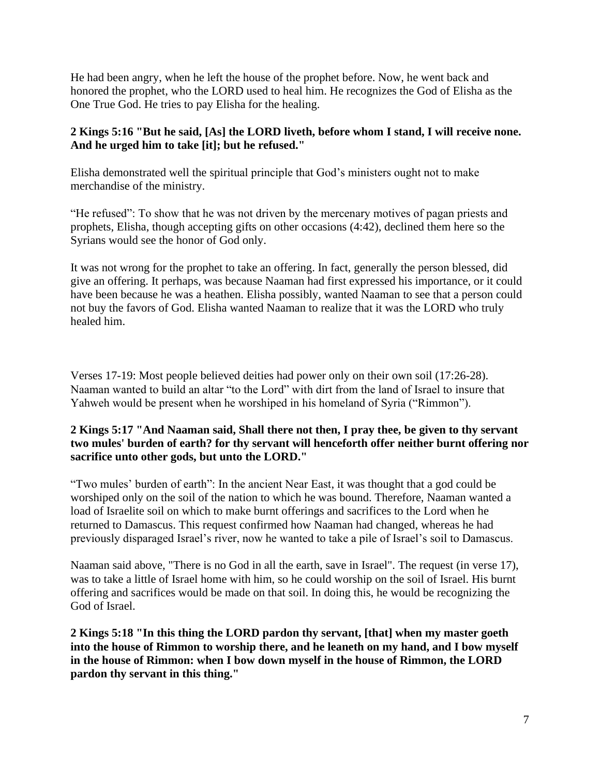He had been angry, when he left the house of the prophet before. Now, he went back and honored the prophet, who the LORD used to heal him. He recognizes the God of Elisha as the One True God. He tries to pay Elisha for the healing.

## **2 Kings 5:16 "But he said, [As] the LORD liveth, before whom I stand, I will receive none. And he urged him to take [it]; but he refused."**

Elisha demonstrated well the spiritual principle that God's ministers ought not to make merchandise of the ministry.

"He refused": To show that he was not driven by the mercenary motives of pagan priests and prophets, Elisha, though accepting gifts on other occasions (4:42), declined them here so the Syrians would see the honor of God only.

It was not wrong for the prophet to take an offering. In fact, generally the person blessed, did give an offering. It perhaps, was because Naaman had first expressed his importance, or it could have been because he was a heathen. Elisha possibly, wanted Naaman to see that a person could not buy the favors of God. Elisha wanted Naaman to realize that it was the LORD who truly healed him.

Verses 17-19: Most people believed deities had power only on their own soil (17:26-28). Naaman wanted to build an altar "to the Lord" with dirt from the land of Israel to insure that Yahweh would be present when he worshiped in his homeland of Syria ("Rimmon").

## **2 Kings 5:17 "And Naaman said, Shall there not then, I pray thee, be given to thy servant two mules' burden of earth? for thy servant will henceforth offer neither burnt offering nor sacrifice unto other gods, but unto the LORD."**

"Two mules' burden of earth": In the ancient Near East, it was thought that a god could be worshiped only on the soil of the nation to which he was bound. Therefore, Naaman wanted a load of Israelite soil on which to make burnt offerings and sacrifices to the Lord when he returned to Damascus. This request confirmed how Naaman had changed, whereas he had previously disparaged Israel's river, now he wanted to take a pile of Israel's soil to Damascus.

Naaman said above, "There is no God in all the earth, save in Israel". The request (in verse 17), was to take a little of Israel home with him, so he could worship on the soil of Israel. His burnt offering and sacrifices would be made on that soil. In doing this, he would be recognizing the God of Israel.

**2 Kings 5:18 "In this thing the LORD pardon thy servant, [that] when my master goeth into the house of Rimmon to worship there, and he leaneth on my hand, and I bow myself in the house of Rimmon: when I bow down myself in the house of Rimmon, the LORD pardon thy servant in this thing."**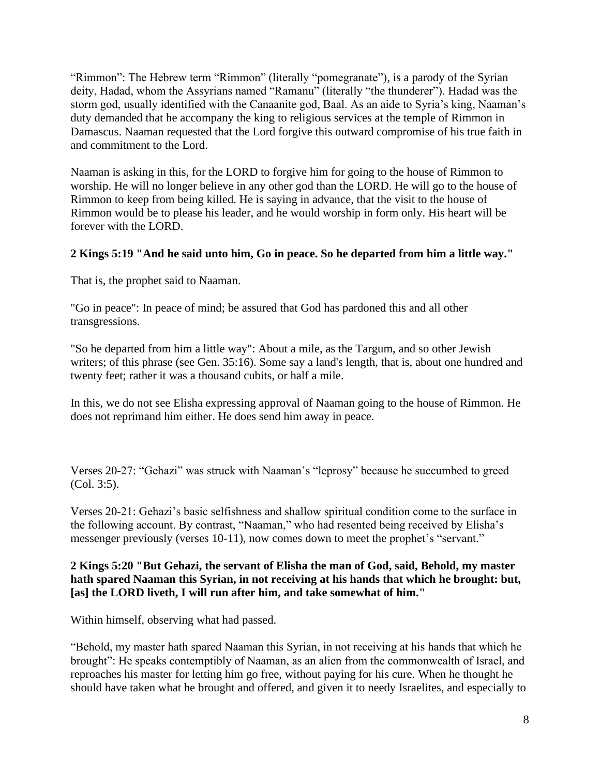"Rimmon": The Hebrew term "Rimmon" (literally "pomegranate"), is a parody of the Syrian deity, Hadad, whom the Assyrians named "Ramanu" (literally "the thunderer"). Hadad was the storm god, usually identified with the Canaanite god, Baal. As an aide to Syria's king, Naaman's duty demanded that he accompany the king to religious services at the temple of Rimmon in Damascus. Naaman requested that the Lord forgive this outward compromise of his true faith in and commitment to the Lord.

Naaman is asking in this, for the LORD to forgive him for going to the house of Rimmon to worship. He will no longer believe in any other god than the LORD. He will go to the house of Rimmon to keep from being killed. He is saying in advance, that the visit to the house of Rimmon would be to please his leader, and he would worship in form only. His heart will be forever with the LORD.

## **2 Kings 5:19 "And he said unto him, Go in peace. So he departed from him a little way."**

That is, the prophet said to Naaman.

"Go in peace": In peace of mind; be assured that God has pardoned this and all other transgressions.

"So he departed from him a little way": About a mile, as the Targum, and so other Jewish writers; of this phrase (see Gen. 35:16). Some say a land's length, that is, about one hundred and twenty feet; rather it was a thousand cubits, or half a mile.

In this, we do not see Elisha expressing approval of Naaman going to the house of Rimmon. He does not reprimand him either. He does send him away in peace.

Verses 20-27: "Gehazi" was struck with Naaman's "leprosy" because he succumbed to greed (Col. 3:5).

Verses 20-21: Gehazi's basic selfishness and shallow spiritual condition come to the surface in the following account. By contrast, "Naaman," who had resented being received by Elisha's messenger previously (verses 10-11), now comes down to meet the prophet's "servant."

#### **2 Kings 5:20 "But Gehazi, the servant of Elisha the man of God, said, Behold, my master hath spared Naaman this Syrian, in not receiving at his hands that which he brought: but, [as] the LORD liveth, I will run after him, and take somewhat of him."**

Within himself, observing what had passed.

"Behold, my master hath spared Naaman this Syrian, in not receiving at his hands that which he brought": He speaks contemptibly of Naaman, as an alien from the commonwealth of Israel, and reproaches his master for letting him go free, without paying for his cure. When he thought he should have taken what he brought and offered, and given it to needy Israelites, and especially to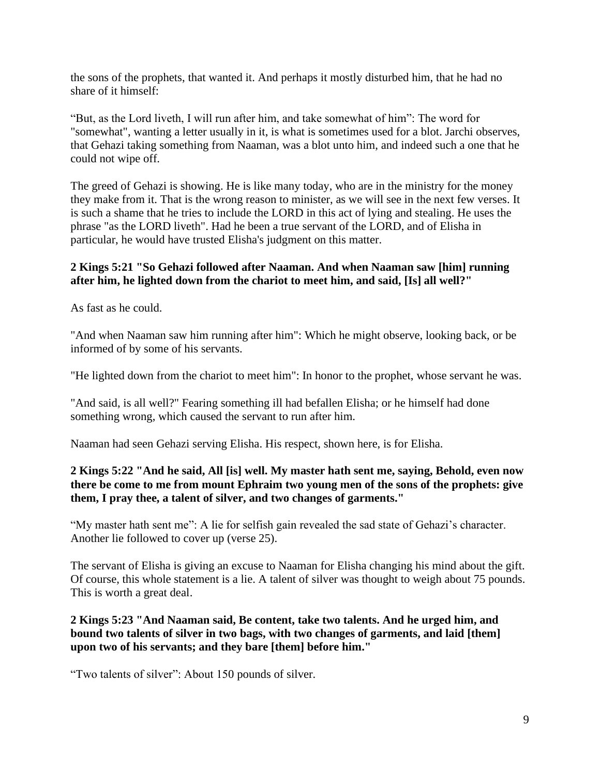the sons of the prophets, that wanted it. And perhaps it mostly disturbed him, that he had no share of it himself:

"But, as the Lord liveth, I will run after him, and take somewhat of him": The word for "somewhat", wanting a letter usually in it, is what is sometimes used for a blot. Jarchi observes, that Gehazi taking something from Naaman, was a blot unto him, and indeed such a one that he could not wipe off.

The greed of Gehazi is showing. He is like many today, who are in the ministry for the money they make from it. That is the wrong reason to minister, as we will see in the next few verses. It is such a shame that he tries to include the LORD in this act of lying and stealing. He uses the phrase "as the LORD liveth". Had he been a true servant of the LORD, and of Elisha in particular, he would have trusted Elisha's judgment on this matter.

## **2 Kings 5:21 "So Gehazi followed after Naaman. And when Naaman saw [him] running after him, he lighted down from the chariot to meet him, and said, [Is] all well?"**

As fast as he could.

"And when Naaman saw him running after him": Which he might observe, looking back, or be informed of by some of his servants.

"He lighted down from the chariot to meet him": In honor to the prophet, whose servant he was.

"And said, is all well?" Fearing something ill had befallen Elisha; or he himself had done something wrong, which caused the servant to run after him.

Naaman had seen Gehazi serving Elisha. His respect, shown here, is for Elisha.

#### **2 Kings 5:22 "And he said, All [is] well. My master hath sent me, saying, Behold, even now there be come to me from mount Ephraim two young men of the sons of the prophets: give them, I pray thee, a talent of silver, and two changes of garments."**

"My master hath sent me": A lie for selfish gain revealed the sad state of Gehazi's character. Another lie followed to cover up (verse 25).

The servant of Elisha is giving an excuse to Naaman for Elisha changing his mind about the gift. Of course, this whole statement is a lie. A talent of silver was thought to weigh about 75 pounds. This is worth a great deal.

## **2 Kings 5:23 "And Naaman said, Be content, take two talents. And he urged him, and bound two talents of silver in two bags, with two changes of garments, and laid [them] upon two of his servants; and they bare [them] before him."**

"Two talents of silver": About 150 pounds of silver.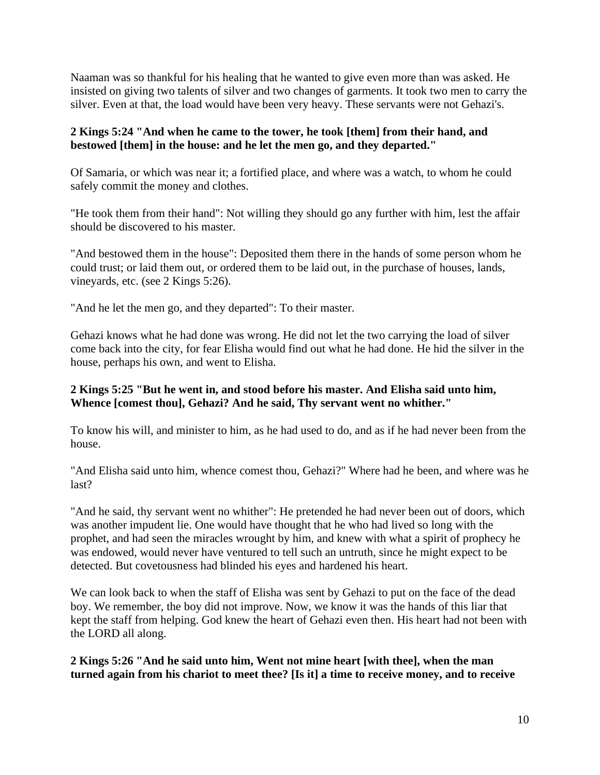Naaman was so thankful for his healing that he wanted to give even more than was asked. He insisted on giving two talents of silver and two changes of garments. It took two men to carry the silver. Even at that, the load would have been very heavy. These servants were not Gehazi's.

## **2 Kings 5:24 "And when he came to the tower, he took [them] from their hand, and bestowed [them] in the house: and he let the men go, and they departed."**

Of Samaria, or which was near it; a fortified place, and where was a watch, to whom he could safely commit the money and clothes.

"He took them from their hand": Not willing they should go any further with him, lest the affair should be discovered to his master.

"And bestowed them in the house": Deposited them there in the hands of some person whom he could trust; or laid them out, or ordered them to be laid out, in the purchase of houses, lands, vineyards, etc. (see 2 Kings 5:26).

"And he let the men go, and they departed": To their master.

Gehazi knows what he had done was wrong. He did not let the two carrying the load of silver come back into the city, for fear Elisha would find out what he had done. He hid the silver in the house, perhaps his own, and went to Elisha.

## **2 Kings 5:25 "But he went in, and stood before his master. And Elisha said unto him, Whence [comest thou], Gehazi? And he said, Thy servant went no whither."**

To know his will, and minister to him, as he had used to do, and as if he had never been from the house.

"And Elisha said unto him, whence comest thou, Gehazi?" Where had he been, and where was he last?

"And he said, thy servant went no whither": He pretended he had never been out of doors, which was another impudent lie. One would have thought that he who had lived so long with the prophet, and had seen the miracles wrought by him, and knew with what a spirit of prophecy he was endowed, would never have ventured to tell such an untruth, since he might expect to be detected. But covetousness had blinded his eyes and hardened his heart.

We can look back to when the staff of Elisha was sent by Gehazi to put on the face of the dead boy. We remember, the boy did not improve. Now, we know it was the hands of this liar that kept the staff from helping. God knew the heart of Gehazi even then. His heart had not been with the LORD all along.

**2 Kings 5:26 "And he said unto him, Went not mine heart [with thee], when the man turned again from his chariot to meet thee? [Is it] a time to receive money, and to receive**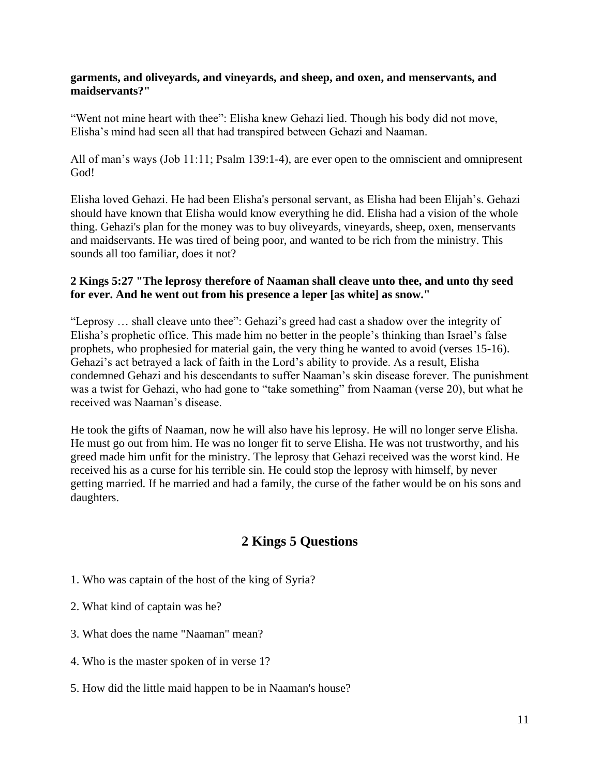#### **garments, and oliveyards, and vineyards, and sheep, and oxen, and menservants, and maidservants?"**

"Went not mine heart with thee": Elisha knew Gehazi lied. Though his body did not move, Elisha's mind had seen all that had transpired between Gehazi and Naaman.

All of man's ways (Job 11:11; Psalm 139:1-4), are ever open to the omniscient and omnipresent God!

Elisha loved Gehazi. He had been Elisha's personal servant, as Elisha had been Elijah's. Gehazi should have known that Elisha would know everything he did. Elisha had a vision of the whole thing. Gehazi's plan for the money was to buy oliveyards, vineyards, sheep, oxen, menservants and maidservants. He was tired of being poor, and wanted to be rich from the ministry. This sounds all too familiar, does it not?

#### **2 Kings 5:27 "The leprosy therefore of Naaman shall cleave unto thee, and unto thy seed for ever. And he went out from his presence a leper [as white] as snow."**

"Leprosy … shall cleave unto thee": Gehazi's greed had cast a shadow over the integrity of Elisha's prophetic office. This made him no better in the people's thinking than Israel's false prophets, who prophesied for material gain, the very thing he wanted to avoid (verses 15-16). Gehazi's act betrayed a lack of faith in the Lord's ability to provide. As a result, Elisha condemned Gehazi and his descendants to suffer Naaman's skin disease forever. The punishment was a twist for Gehazi, who had gone to "take something" from Naaman (verse 20), but what he received was Naaman's disease.

He took the gifts of Naaman, now he will also have his leprosy. He will no longer serve Elisha. He must go out from him. He was no longer fit to serve Elisha. He was not trustworthy, and his greed made him unfit for the ministry. The leprosy that Gehazi received was the worst kind. He received his as a curse for his terrible sin. He could stop the leprosy with himself, by never getting married. If he married and had a family, the curse of the father would be on his sons and daughters.

# **2 Kings 5 Questions**

- 1. Who was captain of the host of the king of Syria?
- 2. What kind of captain was he?
- 3. What does the name "Naaman" mean?
- 4. Who is the master spoken of in verse 1?
- 5. How did the little maid happen to be in Naaman's house?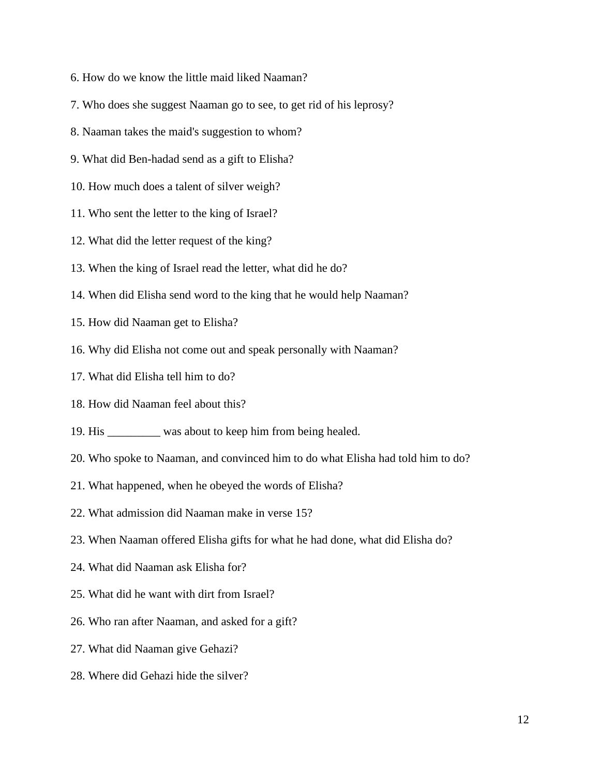- 6. How do we know the little maid liked Naaman?
- 7. Who does she suggest Naaman go to see, to get rid of his leprosy?
- 8. Naaman takes the maid's suggestion to whom?
- 9. What did Ben-hadad send as a gift to Elisha?
- 10. How much does a talent of silver weigh?
- 11. Who sent the letter to the king of Israel?
- 12. What did the letter request of the king?
- 13. When the king of Israel read the letter, what did he do?
- 14. When did Elisha send word to the king that he would help Naaman?
- 15. How did Naaman get to Elisha?
- 16. Why did Elisha not come out and speak personally with Naaman?
- 17. What did Elisha tell him to do?
- 18. How did Naaman feel about this?
- 19. His \_\_\_\_\_\_\_\_\_ was about to keep him from being healed.
- 20. Who spoke to Naaman, and convinced him to do what Elisha had told him to do?
- 21. What happened, when he obeyed the words of Elisha?
- 22. What admission did Naaman make in verse 15?
- 23. When Naaman offered Elisha gifts for what he had done, what did Elisha do?
- 24. What did Naaman ask Elisha for?
- 25. What did he want with dirt from Israel?
- 26. Who ran after Naaman, and asked for a gift?
- 27. What did Naaman give Gehazi?
- 28. Where did Gehazi hide the silver?